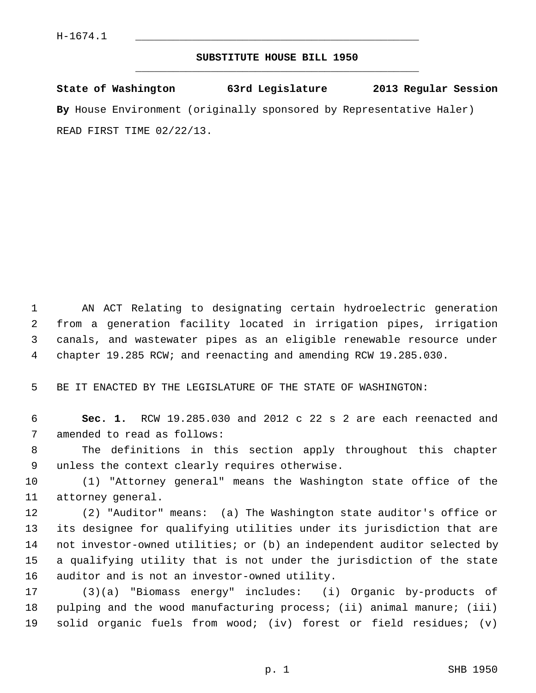## **SUBSTITUTE HOUSE BILL 1950** \_\_\_\_\_\_\_\_\_\_\_\_\_\_\_\_\_\_\_\_\_\_\_\_\_\_\_\_\_\_\_\_\_\_\_\_\_\_\_\_\_\_\_\_\_

**State of Washington 63rd Legislature 2013 Regular Session By** House Environment (originally sponsored by Representative Haler) READ FIRST TIME 02/22/13.

 1 AN ACT Relating to designating certain hydroelectric generation 2 from a generation facility located in irrigation pipes, irrigation 3 canals, and wastewater pipes as an eligible renewable resource under 4 chapter 19.285 RCW; and reenacting and amending RCW 19.285.030.

5 BE IT ENACTED BY THE LEGISLATURE OF THE STATE OF WASHINGTON:

 6 **Sec. 1.** RCW 19.285.030 and 2012 c 22 s 2 are each reenacted and 7 amended to read as follows:

 8 The definitions in this section apply throughout this chapter 9 unless the context clearly requires otherwise.

10 (1) "Attorney general" means the Washington state office of the 11 attorney general.

12 (2) "Auditor" means: (a) The Washington state auditor's office or 13 its designee for qualifying utilities under its jurisdiction that are 14 not investor-owned utilities; or (b) an independent auditor selected by 15 a qualifying utility that is not under the jurisdiction of the state 16 auditor and is not an investor-owned utility.

17 (3)(a) "Biomass energy" includes: (i) Organic by-products of 18 pulping and the wood manufacturing process; (ii) animal manure; (iii) 19 solid organic fuels from wood; (iv) forest or field residues; (v)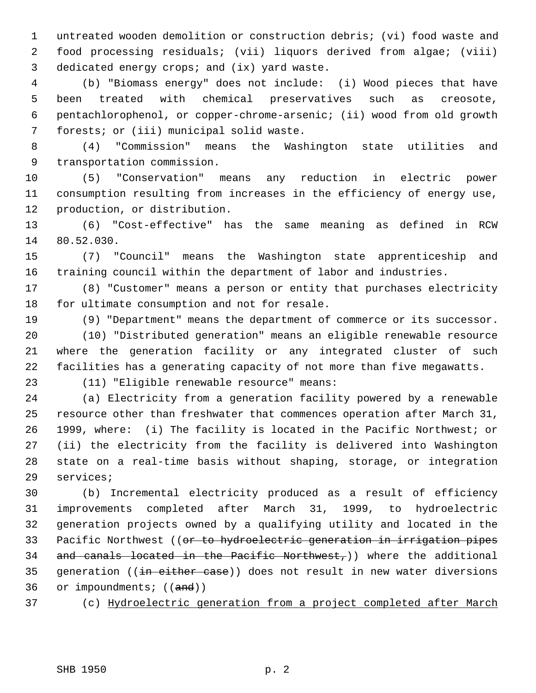1 untreated wooden demolition or construction debris; (vi) food waste and 2 food processing residuals; (vii) liquors derived from algae; (viii) 3 dedicated energy crops; and (ix) yard waste.

 4 (b) "Biomass energy" does not include: (i) Wood pieces that have 5 been treated with chemical preservatives such as creosote, 6 pentachlorophenol, or copper-chrome-arsenic; (ii) wood from old growth 7 forests; or (iii) municipal solid waste.

 8 (4) "Commission" means the Washington state utilities and 9 transportation commission.

10 (5) "Conservation" means any reduction in electric power 11 consumption resulting from increases in the efficiency of energy use, 12 production, or distribution.

13 (6) "Cost-effective" has the same meaning as defined in RCW 14 80.52.030.

15 (7) "Council" means the Washington state apprenticeship and 16 training council within the department of labor and industries.

17 (8) "Customer" means a person or entity that purchases electricity 18 for ultimate consumption and not for resale.

19 (9) "Department" means the department of commerce or its successor.

20 (10) "Distributed generation" means an eligible renewable resource 21 where the generation facility or any integrated cluster of such 22 facilities has a generating capacity of not more than five megawatts.

23 (11) "Eligible renewable resource" means:

24 (a) Electricity from a generation facility powered by a renewable 25 resource other than freshwater that commences operation after March 31, 26 1999, where: (i) The facility is located in the Pacific Northwest; or 27 (ii) the electricity from the facility is delivered into Washington 28 state on a real-time basis without shaping, storage, or integration 29 services;

30 (b) Incremental electricity produced as a result of efficiency 31 improvements completed after March 31, 1999, to hydroelectric 32 generation projects owned by a qualifying utility and located in the 33 Pacific Northwest ((or to hydroelectric generation in irrigation pipes 34 and canals located in the Pacific Northwest,)) where the additional 35 generation ((in either case)) does not result in new water diversions 36 or impoundments; ((and))

37 (c) Hydroelectric generation from a project completed after March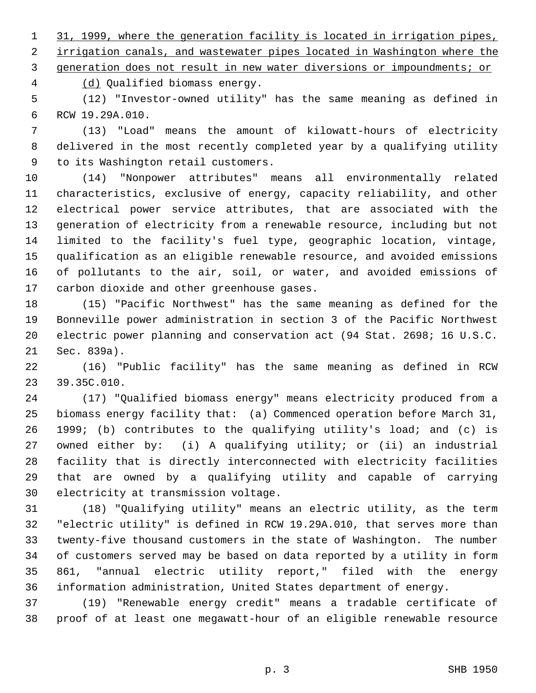1 31, 1999, where the generation facility is located in irrigation pipes, 2 irrigation canals, and wastewater pipes located in Washington where the

3 generation does not result in new water diversions or impoundments; or

4 (d) Qualified biomass energy.

 5 (12) "Investor-owned utility" has the same meaning as defined in 6 RCW 19.29A.010.

 7 (13) "Load" means the amount of kilowatt-hours of electricity 8 delivered in the most recently completed year by a qualifying utility 9 to its Washington retail customers.

10 (14) "Nonpower attributes" means all environmentally related 11 characteristics, exclusive of energy, capacity reliability, and other 12 electrical power service attributes, that are associated with the 13 generation of electricity from a renewable resource, including but not 14 limited to the facility's fuel type, geographic location, vintage, 15 qualification as an eligible renewable resource, and avoided emissions 16 of pollutants to the air, soil, or water, and avoided emissions of 17 carbon dioxide and other greenhouse gases.

18 (15) "Pacific Northwest" has the same meaning as defined for the 19 Bonneville power administration in section 3 of the Pacific Northwest 20 electric power planning and conservation act (94 Stat. 2698; 16 U.S.C. 21 Sec. 839a).

22 (16) "Public facility" has the same meaning as defined in RCW 23 39.35C.010.

24 (17) "Qualified biomass energy" means electricity produced from a 25 biomass energy facility that: (a) Commenced operation before March 31, 26 1999; (b) contributes to the qualifying utility's load; and (c) is 27 owned either by: (i) A qualifying utility; or (ii) an industrial 28 facility that is directly interconnected with electricity facilities 29 that are owned by a qualifying utility and capable of carrying 30 electricity at transmission voltage.

31 (18) "Qualifying utility" means an electric utility, as the term 32 "electric utility" is defined in RCW 19.29A.010, that serves more than 33 twenty-five thousand customers in the state of Washington. The number 34 of customers served may be based on data reported by a utility in form 35 861, "annual electric utility report," filed with the energy 36 information administration, United States department of energy.

37 (19) "Renewable energy credit" means a tradable certificate of 38 proof of at least one megawatt-hour of an eligible renewable resource